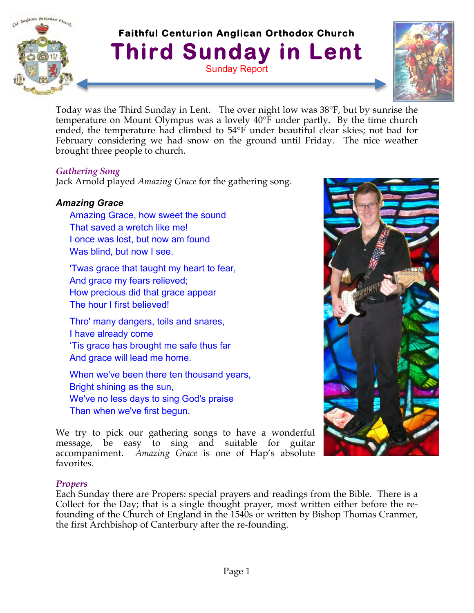

# **Faithful Centurion Anglican Orthodox Church Third Sunday in Lent** Sunday Report



Today was the Third Sunday in Lent. The over night low was 38°F, but by sunrise the temperature on Mount Olympus was a lovely 40°F under partly. By the time church ended, the temperature had climbed to 54°F under beautiful clear skies; not bad for February considering we had snow on the ground until Friday. The nice weather brought three people to church.

#### *Gathering Song*

Jack Arnold played *Amazing Grace* for the gathering song.

# *Amazing Grace*

Amazing Grace, how sweet the sound That saved a wretch like me! I once was lost, but now am found Was blind, but now I see.

'Twas grace that taught my heart to fear, And grace my fears relieved; How precious did that grace appear The hour I first believed!

Thro' many dangers, toils and snares, I have already come 'Tis grace has brought me safe thus far And grace will lead me home.

When we've been there ten thousand years, Bright shining as the sun, We've no less days to sing God's praise Than when we've first begun.

We try to pick our gathering songs to have a wonderful message, be easy to sing and suitable for guitar accompaniment. *Amazing Grace* is one of Hap's absolute favorites.

#### *Propers*

Each Sunday there are Propers: special prayers and readings from the Bible. There is a Collect for the Day; that is a single thought prayer, most written either before the refounding of the Church of England in the 1540s or written by Bishop Thomas Cranmer, the first Archbishop of Canterbury after the re-founding.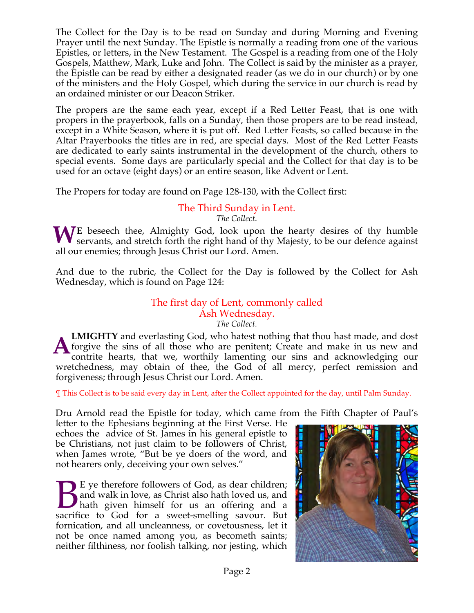The Collect for the Day is to be read on Sunday and during Morning and Evening Prayer until the next Sunday. The Epistle is normally a reading from one of the various Epistles, or letters, in the New Testament. The Gospel is a reading from one of the Holy Gospels, Matthew, Mark, Luke and John. The Collect is said by the minister as a prayer, the Epistle can be read by either a designated reader (as we do in our church) or by one of the ministers and the Holy Gospel, which during the service in our church is read by an ordained minister or our Deacon Striker.

The propers are the same each year, except if a Red Letter Feast, that is one with propers in the prayerbook, falls on a Sunday, then those propers are to be read instead, except in a White Season, where it is put off. Red Letter Feasts, so called because in the Altar Prayerbooks the titles are in red, are special days. Most of the Red Letter Feasts are dedicated to early saints instrumental in the development of the church, others to special events. Some days are particularly special and the Collect for that day is to be used for an octave (eight days) or an entire season, like Advent or Lent.

The Propers for today are found on Page 128-130, with the Collect first:

#### The Third Sunday in Lent. *The Collect.*

WE beseech thee, Almighty God, look upon the hearty desires of thy humble servants, and stretch forth the right hand of thy Majesty, to be our defence against servants, and stretch forth the right hand of thy Majesty, to be our defence against all our enemies; through Jesus Christ our Lord. Amen.

And due to the rubric, the Collect for the Day is followed by the Collect for Ash Wednesday, which is found on Page 124:

#### The first day of Lent, commonly called Ash Wednesday. *The Collect.*

**LMIGHTY** and everlasting God, who hatest nothing that thou hast made, and dost forgive the sins of all those who are penitent; Create and make in us new and contrite hearts, that we, worthily lamenting our sins and acknowledging our wretchedness, may obtain of thee, the God of all mercy, perfect remission and forgiveness; through Jesus Christ our Lord. Amen. **A**

¶ This Collect is to be said every day in Lent, after the Collect appointed for the day, until Palm Sunday.

Dru Arnold read the Epistle for today, which came from the Fifth Chapter of Paul's

letter to the Ephesians beginning at the First Verse. He echoes the advice of St. James in his general epistle to be Christians, not just claim to be followers of Christ, when James wrote, "But be ye doers of the word, and not hearers only, deceiving your own selves."

E ye therefore followers of God, as dear children; and walk in love, as Christ also hath loved us, and hath given himself for us an offering and a sacrifice to God for a sweet-smelling savour. But fornication, and all uncleanness, or covetousness, let it not be once named among you, as becometh saints; neither filthiness, nor foolish talking, nor jesting, which **B** 

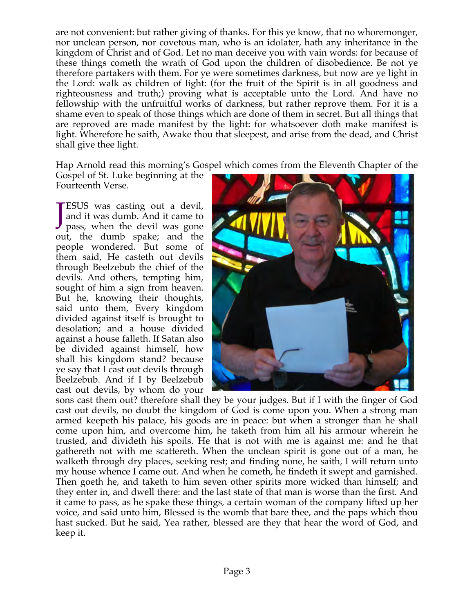are not convenient: but rather giving of thanks. For this ye know, that no whoremonger, nor unclean person, nor covetous man, who is an idolater, hath any inheritance in the kingdom of Christ and of God. Let no man deceive you with vain words: for because of these things cometh the wrath of God upon the children of disobedience. Be not ye therefore partakers with them. For ye were sometimes darkness, but now are ye light in the Lord: walk as children of light: (for the fruit of the Spirit is in all goodness and righteousness and truth;) proving what is acceptable unto the Lord. And have no fellowship with the unfruitful works of darkness, but rather reprove them. For it is a shame even to speak of those things which are done of them in secret. But all things that are reproved are made manifest by the light: for whatsoever doth make manifest is light. Wherefore he saith, Awake thou that sleepest, and arise from the dead, and Christ shall give thee light.

Hap Arnold read this morning's Gospel which comes from the Eleventh Chapter of the

Gospel of St. Luke beginning at the Fourteenth Verse.

**TESUS** was casting out a devil,<br>and it was dumb. And it came to<br>pass, when the devil was gone and it was dumb. And it came to pass, when the devil was gone out, the dumb spake; and the people wondered. But some of them said, He casteth out devils through Beelzebub the chief of the devils. And others, tempting him, sought of him a sign from heaven. But he, knowing their thoughts, said unto them, Every kingdom divided against itself is brought to desolation; and a house divided against a house falleth. If Satan also be divided against himself, how shall his kingdom stand? because ye say that I cast out devils through Beelzebub. And if I by Beelzebub cast out devils, by whom do your



sons cast them out? therefore shall they be your judges. But if I with the finger of God cast out devils, no doubt the kingdom of God is come upon you. When a strong man armed keepeth his palace, his goods are in peace: but when a stronger than he shall come upon him, and overcome him, he taketh from him all his armour wherein he trusted, and divideth his spoils. He that is not with me is against me: and he that gathereth not with me scattereth. When the unclean spirit is gone out of a man, he walketh through dry places, seeking rest; and finding none, he saith, I will return unto my house whence I came out. And when he cometh, he findeth it swept and garnished. Then goeth he, and taketh to him seven other spirits more wicked than himself; and they enter in, and dwell there: and the last state of that man is worse than the first. And it came to pass, as he spake these things, a certain woman of the company lifted up her voice, and said unto him, Blessed is the womb that bare thee, and the paps which thou hast sucked. But he said, Yea rather, blessed are they that hear the word of God, and keep it.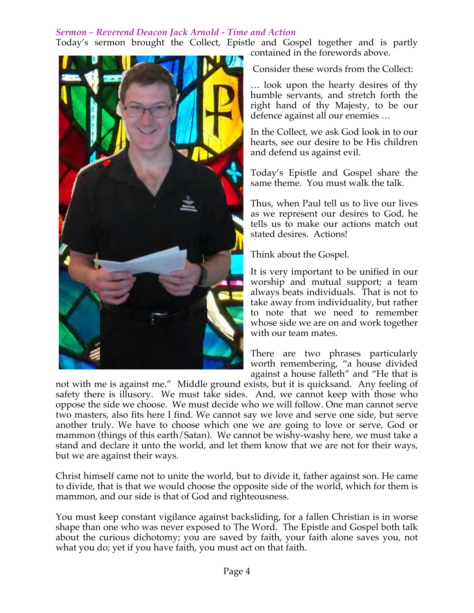### *Sermon – Reverend Deacon Jack Arnold - Time and Action*

Today's sermon brought the Collect, Epistle and Gospel together and is partly contained in the forewords above.



Consider these words from the Collect:

… look upon the hearty desires of thy humble servants, and stretch forth the right hand of thy Majesty, to be our defence against all our enemies …

In the Collect, we ask God look in to our hearts, see our desire to be His children and defend us against evil.

Today's Epistle and Gospel share the same theme. You must walk the talk.

Thus, when Paul tell us to live our lives as we represent our desires to God, he tells us to make our actions match out stated desires. Actions!

Think about the Gospel.

It is very important to be unified in our worship and mutual support; a team always beats individuals. That is not to take away from individuality, but rather to note that we need to remember whose side we are on and work together with our team mates.

There are two phrases particularly worth remembering, "a house divided against a house falleth" and "He that is

not with me is against me." Middle ground exists, but it is quicksand. Any feeling of safety there is illusory. We must take sides. And, we cannot keep with those who oppose the side we choose. We must decide who we will follow. One man cannot serve two masters, also fits here I find. We cannot say we love and serve one side, but serve another truly. We have to choose which one we are going to love or serve, God or mammon (things of this earth/Satan). We cannot be wishy-washy here, we must take a stand and declare it unto the world, and let them know that we are not for their ways, but we are against their ways.

Christ himself came not to unite the world, but to divide it, father against son. He came to divide, that is that we would choose the opposite side of the world, which for them is mammon, and our side is that of God and righteousness.

You must keep constant vigilance against backsliding, for a fallen Christian is in worse shape than one who was never exposed to The Word. The Epistle and Gospel both talk about the curious dichotomy; you are saved by faith, your faith alone saves you, not what you do; yet if you have faith, you must act on that faith.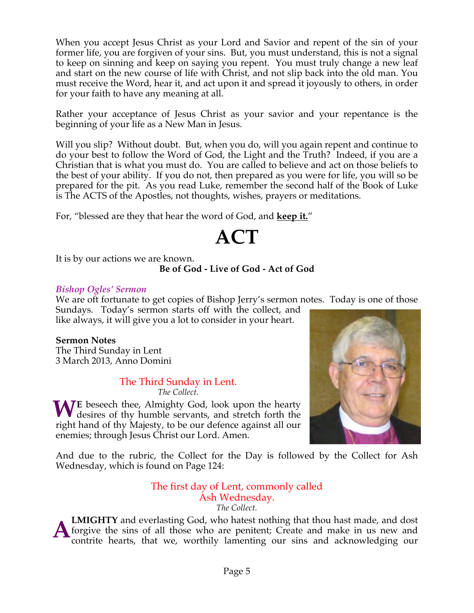When you accept Jesus Christ as your Lord and Savior and repent of the sin of your former life, you are forgiven of your sins. But, you must understand, this is not a signal to keep on sinning and keep on saying you repent. You must truly change a new leaf and start on the new course of life with Christ, and not slip back into the old man. You must receive the Word, hear it, and act upon it and spread it joyously to others, in order for your faith to have any meaning at all.

Rather your acceptance of Jesus Christ as your savior and your repentance is the beginning of your life as a New Man in Jesus.

Will you slip? Without doubt. But, when you do, will you again repent and continue to do your best to follow the Word of God, the Light and the Truth? Indeed, if you are a Christian that is what you must do. You are called to believe and act on those beliefs to the best of your ability. If you do not, then prepared as you were for life, you will so be prepared for the pit. As you read Luke, remember the second half of the Book of Luke is The ACTS of the Apostles, not thoughts, wishes, prayers or meditations.

For, "blessed are they that hear the word of God, and **keep it.**"

# **ACT**

It is by our actions we are known.

# **Be of God - Live of God - Act of God**

#### *Bishop Ogles' Sermon*

We are oft fortunate to get copies of Bishop Jerry's sermon notes. Today is one of those Sundays. Today's sermon starts off with the collect, and

like always, it will give you a lot to consider in your heart.

# **Sermon Notes**

The Third Sunday in Lent 3 March 2013, Anno Domini

#### The Third Sunday in Lent. *The Collect.*

WE beseech thee, Almighty God, look upon the hearty desires of thy humble servants, and stretch forth the desires of thy humble servants, and stretch forth the right hand of thy Majesty, to be our defence against all our

enemies; through Jesus Christ our Lord. Amen.



And due to the rubric, the Collect for the Day is followed by the Collect for Ash Wednesday, which is found on Page 124:

#### The first day of Lent, commonly called Ash Wednesday. *The Collect.*

**LMIGHTY** and everlasting God, who hatest nothing that thou hast made, and dost forgive the sins of all those who are penitent; Create and make in us new and contrite hearts, that we, worthily lamenting our sins and acknowledging our **A**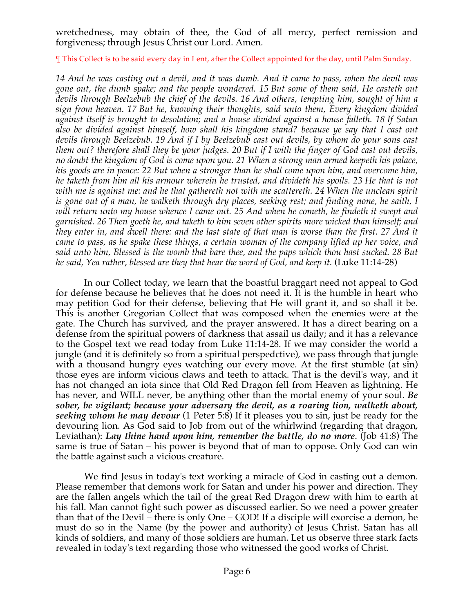wretchedness, may obtain of thee, the God of all mercy, perfect remission and forgiveness; through Jesus Christ our Lord. Amen.

¶ This Collect is to be said every day in Lent, after the Collect appointed for the day, until Palm Sunday.

*14 And he was casting out a devil, and it was dumb. And it came to pass, when the devil was gone out, the dumb spake; and the people wondered. 15 But some of them said, He casteth out devils through Beelzebub the chief of the devils. 16 And others, tempting him, sought of him a sign from heaven. 17 But he, knowing their thoughts, said unto them, Every kingdom divided against itself is brought to desolation; and a house divided against a house falleth. 18 If Satan also be divided against himself, how shall his kingdom stand? because ye say that I cast out devils through Beelzebub. 19 And if I by Beelzebub cast out devils, by whom do your sons cast them out? therefore shall they be your judges. 20 But if I with the finger of God cast out devils, no doubt the kingdom of God is come upon you. 21 When a strong man armed keepeth his palace, his goods are in peace: 22 But when a stronger than he shall come upon him, and overcome him, he taketh from him all his armour wherein he trusted, and divideth his spoils. 23 He that is not with me is against me: and he that gathereth not with me scattereth. 24 When the unclean spirit is gone out of a man, he walketh through dry places, seeking rest; and finding none, he saith, I will return unto my house whence I came out. 25 And when he cometh, he findeth it swept and garnished. 26 Then goeth he, and taketh to him seven other spirits more wicked than himself; and they enter in, and dwell there: and the last state of that man is worse than the first. 27 And it came to pass, as he spake these things, a certain woman of the company lifted up her voice, and said unto him, Blessed is the womb that bare thee, and the paps which thou hast sucked. 28 But he said, Yea rather, blessed are they that hear the word of God, and keep it.* (Luke 11:14-28)

 In our Collect today, we learn that the boastful braggart need not appeal to God for defense because he believes that he does not need it. It is the humble in heart who may petition God for their defense, believing that He will grant it, and so shall it be. This is another Gregorian Collect that was composed when the enemies were at the gate. The Church has survived, and the prayer answered. It has a direct bearing on a defense from the spiritual powers of darkness that assail us daily; and it has a relevance to the Gospel text we read today from Luke 11:14-28. If we may consider the world a jungle (and it is definitely so from a spiritual perspedctive), we pass through that jungle with a thousand hungry eyes watching our every move. At the first stumble (at sin) those eyes are inform vicious claws and teeth to attack. That is the devil's way, and it has not changed an iota since that Old Red Dragon fell from Heaven as lightning. He has never, and WILL never, be anything other than the mortal enemy of your soul. *Be sober, be vigilant; because your adversary the devil, as a roaring lion, walketh about, seeking whom he may devour* (1 Peter 5:8) If it pleases you to sin, just be ready for the devouring lion. As God said to Job from out of the whirlwind (regarding that dragon, Leviathan): *Lay thine hand upon him, remember the battle, do no more*. (Job 41:8) The same is true of Satan – his power is beyond that of man to oppose. Only God can win the battle against such a vicious creature.

 We find Jesus in today's text working a miracle of God in casting out a demon. Please remember that demons work for Satan and under his power and direction. They are the fallen angels which the tail of the great Red Dragon drew with him to earth at his fall. Man cannot fight such power as discussed earlier. So we need a power greater than that of the Devil – there is only One – GOD! If a disciple will exorcise a demon, he must do so in the Name (by the power and authority) of Jesus Christ. Satan has all kinds of soldiers, and many of those soldiers are human. Let us observe three stark facts revealed in today's text regarding those who witnessed the good works of Christ.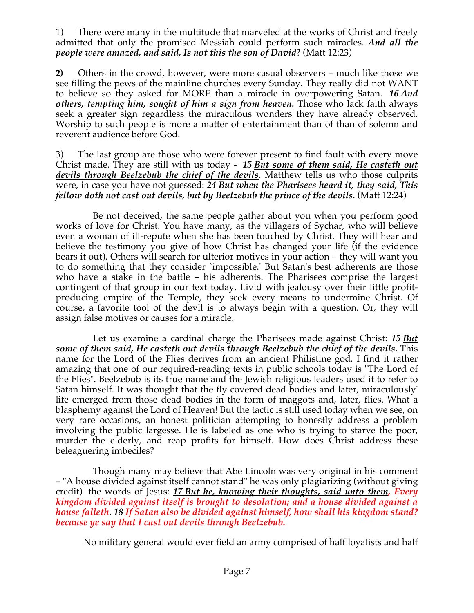1) There were many in the multitude that marveled at the works of Christ and freely admitted that only the promised Messiah could perform such miracles. *And all the people were amazed, and said, Is not this the son of David*? (Matt 12:23)

**2)** Others in the crowd, however, were more casual observers – much like those we see filling the pews of the mainline churches every Sunday. They really did not WANT to believe so they asked for MORE than a miracle in overpowering Satan. *16 And others, tempting him, sought of him a sign from heaven.* Those who lack faith always seek a greater sign regardless the miraculous wonders they have already observed. Worship to such people is more a matter of entertainment than of than of solemn and reverent audience before God.

3) The last group are those who were forever present to find fault with every move Christ made. They are still with us today - *15 But some of them said, He casteth out devils through Beelzebub the chief of the devils.* Matthew tells us who those culprits were, in case you have not guessed: *24 But when the Pharisees heard it, they said, This fellow doth not cast out devils, but by Beelzebub the prince of the devils*. (Matt 12:24)

Be not deceived, the same people gather about you when you perform good works of love for Christ. You have many, as the villagers of Sychar, who will believe even a woman of ill-repute when she has been touched by Christ. They will hear and believe the testimony you give of how Christ has changed your life (if the evidence bears it out). Others will search for ulterior motives in your action – they will want you to do something that they consider `impossible.' But Satan's best adherents are those who have a stake in the battle – his adherents. The Pharisees comprise the largest contingent of that group in our text today. Livid with jealousy over their little profitproducing empire of the Temple, they seek every means to undermine Christ. Of course, a favorite tool of the devil is to always begin with a question. Or, they will assign false motives or causes for a miracle.

Let us examine a cardinal charge the Pharisees made against Christ: *15 But some of them said, He casteth out devils through Beelzebub the chief of the devils.* This name for the Lord of the Flies derives from an ancient Philistine god. I find it rather amazing that one of our required-reading texts in public schools today is "The Lord of the Flies". Beelzebub is its true name and the Jewish religious leaders used it to refer to Satan himself. It was thought that the fly covered dead bodies and later, miraculously' life emerged from those dead bodies in the form of maggots and, later, flies. What a blasphemy against the Lord of Heaven! But the tactic is still used today when we see, on very rare occasions, an honest politician attempting to honestly address a problem involving the public largesse. He is labeled as one who is trying to starve the poor, murder the elderly, and reap profits for himself. How does Christ address these beleaguering imbeciles?

Though many may believe that Abe Lincoln was very original in his comment – "A house divided against itself cannot stand" he was only plagiarizing (without giving credit) the words of Jesus: *17 But he, knowing their thoughts, said unto them, Every kingdom divided against itself is brought to desolation; and a house divided against a house falleth. 18 If Satan also be divided against himself, how shall his kingdom stand? because ye say that I cast out devils through Beelzebub.*

No military general would ever field an army comprised of half loyalists and half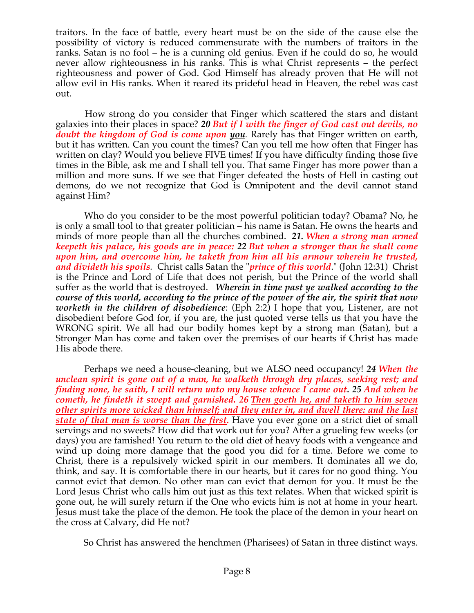traitors. In the face of battle, every heart must be on the side of the cause else the possibility of victory is reduced commensurate with the numbers of traitors in the ranks. Satan is no fool – he is a cunning old genius. Even if he could do so, he would never allow righteousness in his ranks. This is what Christ represents – the perfect righteousness and power of God. God Himself has already proven that He will not allow evil in His ranks. When it reared its prideful head in Heaven, the rebel was cast out.

 How strong do you consider that Finger which scattered the stars and distant galaxies into their places in space? *20 But if I with the finger of God cast out devils, no doubt the kingdom of God is come upon you.* Rarely has that Finger written on earth, but it has written. Can you count the times? Can you tell me how often that Finger has written on clay? Would you believe FIVE times! If you have difficulty finding those five times in the Bible, ask me and I shall tell you. That same Finger has more power than a million and more suns. If we see that Finger defeated the hosts of Hell in casting out demons, do we not recognize that God is Omnipotent and the devil cannot stand against Him?

 Who do you consider to be the most powerful politician today? Obama? No, he is only a small tool to that greater politician – his name is Satan. He owns the hearts and minds of more people than all the churches combined. *21. When a strong man armed keepeth his palace, his goods are in peace: 22 But when a stronger than he shall come upon him, and overcome him, he taketh from him all his armour wherein he trusted, and divideth his spoils.* Christ calls Satan the "*prince of this world*." (John 12:31) Christ is the Prince and Lord of Life that does not perish, but the Prince of the world shall suffer as the world that is destroyed. *Wherein in time past ye walked according to the course of this world, according to the prince of the power of the air, the spirit that now worketh in the children of disobedience*: (Eph 2:2) I hope that you, Listener, are not disobedient before God for, if you are, the just quoted verse tells us that you have the WRONG spirit. We all had our bodily homes kept by a strong man (Satan), but a Stronger Man has come and taken over the premises of our hearts if Christ has made His abode there.

 Perhaps we need a house-cleaning, but we ALSO need occupancy! *24 When the unclean spirit is gone out of a man, he walketh through dry places, seeking rest; and finding none, he saith, I will return unto my house whence I came out. 25 And when he cometh, he findeth it swept and garnished. 26 Then goeth he, and taketh to him seven other spirits more wicked than himself; and they enter in, and dwell there: and the last state of that man is worse than the first.* Have you ever gone on a strict diet of small servings and no sweets? How did that work out for you? After a grueling few weeks (or days) you are famished! You return to the old diet of heavy foods with a vengeance and wind up doing more damage that the good you did for a time. Before we come to Christ, there is a repulsively wicked spirit in our members. It dominates all we do, think, and say. It is comfortable there in our hearts, but it cares for no good thing. You cannot evict that demon. No other man can evict that demon for you. It must be the Lord Jesus Christ who calls him out just as this text relates. When that wicked spirit is gone out, he will surely return if the One who evicts him is not at home in your heart. Jesus must take the place of the demon. He took the place of the demon in your heart on the cross at Calvary, did He not?

So Christ has answered the henchmen (Pharisees) of Satan in three distinct ways.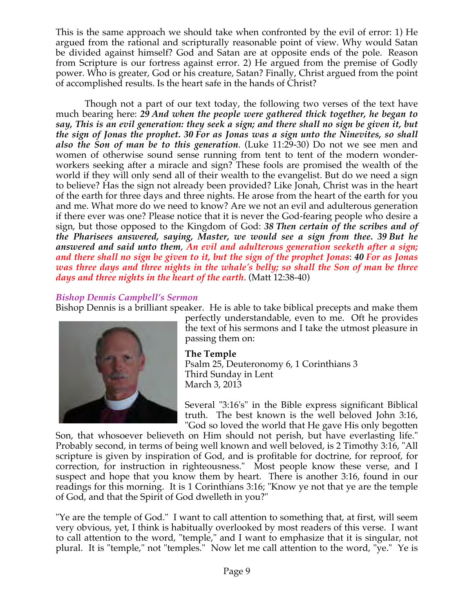This is the same approach we should take when confronted by the evil of error: 1) He argued from the rational and scripturally reasonable point of view. Why would Satan be divided against himself? God and Satan are at opposite ends of the pole. Reason from Scripture is our fortress against error. 2) He argued from the premise of Godly power. Who is greater, God or his creature, Satan? Finally, Christ argued from the point of accomplished results. Is the heart safe in the hands of Christ?

 Though not a part of our text today, the following two verses of the text have much bearing here: *29 And when the people were gathered thick together, he began to say, This is an evil generation: they seek a sign; and there shall no sign be given it, but the sign of Jonas the prophet. 30 For as Jonas was a sign unto the Ninevites, so shall also the Son of man be to this generation*. (Luke 11:29-30) Do not we see men and women of otherwise sound sense running from tent to tent of the modern wonderworkers seeking after a miracle and sign? These fools are promised the wealth of the world if they will only send all of their wealth to the evangelist. But do we need a sign to believe? Has the sign not already been provided? Like Jonah, Christ was in the heart of the earth for three days and three nights. He arose from the heart of the earth for you and me. What more do we need to know? Are we not an evil and adulterous generation if there ever was one? Please notice that it is never the God-fearing people who desire a sign, but those opposed to the Kingdom of God: *38 Then certain of the scribes and of the Pharisees answered, saying, Master, we would see a sign from thee. 39 But he answered and said unto them*, *An evil and adulterous generation seeketh after a sign; and there shall no sign be given to it, but the sign of the prophet Jonas*: *40 For as Jonas was three days and three nights in the whale's belly; so shall the Son of man be three days and three nights in the heart of the earth*. (Matt 12:38-40)

# *Bishop Dennis Campbell's Sermon*

Bishop Dennis is a brilliant speaker. He is able to take biblical precepts and make them



perfectly understandable, even to me. Oft he provides the text of his sermons and I take the utmost pleasure in passing them on:

#### **The Temple**

Psalm 25, Deuteronomy 6, 1 Corinthians 3 Third Sunday in Lent March 3, 2013

Several "3:16's" in the Bible express significant Biblical truth. The best known is the well beloved John 3:16, "God so loved the world that He gave His only begotten

Son, that whosoever believeth on Him should not perish, but have everlasting life." Probably second, in terms of being well known and well beloved, is 2 Timothy 3:16, "All scripture is given by inspiration of God, and is profitable for doctrine, for reproof, for correction, for instruction in righteousness." Most people know these verse, and I suspect and hope that you know them by heart. There is another 3:16, found in our readings for this morning. It is 1 Corinthians 3:16; "Know ye not that ye are the temple of God, and that the Spirit of God dwelleth in you?"

"Ye are the temple of God." I want to call attention to something that, at first, will seem very obvious, yet, I think is habitually overlooked by most readers of this verse. I want to call attention to the word, "temple," and I want to emphasize that it is singular, not plural. It is "temple," not "temples." Now let me call attention to the word, "ye." Ye is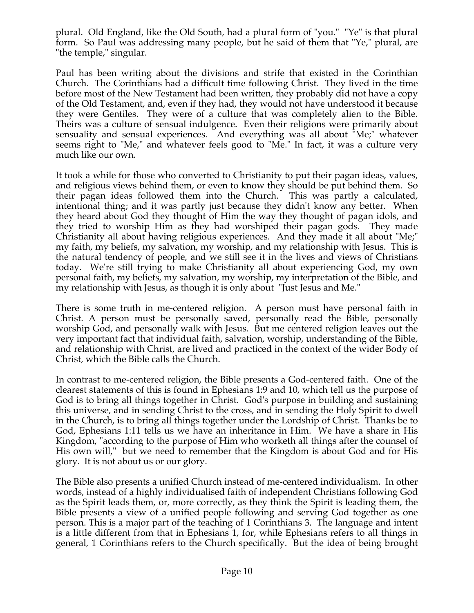plural. Old England, like the Old South, had a plural form of "you." "Ye" is that plural form. So Paul was addressing many people, but he said of them that "Ye," plural, are "the temple," singular.

Paul has been writing about the divisions and strife that existed in the Corinthian Church. The Corinthians had a difficult time following Christ. They lived in the time before most of the New Testament had been written, they probably did not have a copy of the Old Testament, and, even if they had, they would not have understood it because they were Gentiles. They were of a culture that was completely alien to the Bible. Theirs was a culture of sensual indulgence. Even their religions were primarily about sensuality and sensual experiences. And everything was all about "Me;" whatever seems right to "Me," and whatever feels good to "Me." In fact, it was a culture very much like our own.

It took a while for those who converted to Christianity to put their pagan ideas, values, and religious views behind them, or even to know they should be put behind them. So their pagan ideas followed them into the Church. This was partly a calculated, intentional thing; and it was partly just because they didn't know any better. When they heard about God they thought of Him the way they thought of pagan idols, and they tried to worship Him as they had worshiped their pagan gods. They made Christianity all about having religious experiences. And they made it all about "Me;" my faith, my beliefs, my salvation, my worship, and my relationship with Jesus. This is the natural tendency of people, and we still see it in the lives and views of Christians today. We're still trying to make Christianity all about experiencing God, my own personal faith, my beliefs, my salvation, my worship, my interpretation of the Bible, and my relationship with Jesus, as though it is only about "Just Jesus and Me."

There is some truth in me-centered religion. A person must have personal faith in Christ. A person must be personally saved, personally read the Bible, personally worship God, and personally walk with Jesus. But me centered religion leaves out the very important fact that individual faith, salvation, worship, understanding of the Bible, and relationship with Christ, are lived and practiced in the context of the wider Body of Christ, which the Bible calls the Church.

In contrast to me-centered religion, the Bible presents a God-centered faith. One of the clearest statements of this is found in Ephesians 1:9 and 10, which tell us the purpose of God is to bring all things together in Christ. God's purpose in building and sustaining this universe, and in sending Christ to the cross, and in sending the Holy Spirit to dwell in the Church, is to bring all things together under the Lordship of Christ. Thanks be to God, Ephesians 1:11 tells us we have an inheritance in Him. We have a share in His Kingdom, "according to the purpose of Him who worketh all things after the counsel of His own will," but we need to remember that the Kingdom is about God and for His glory. It is not about us or our glory.

The Bible also presents a unified Church instead of me-centered individualism. In other words, instead of a highly individualised faith of independent Christians following God as the Spirit leads them, or, more correctly, as they think the Spirit is leading them, the Bible presents a view of a unified people following and serving God together as one person. This is a major part of the teaching of 1 Corinthians 3. The language and intent is a little different from that in Ephesians 1, for, while Ephesians refers to all things in general, 1 Corinthians refers to the Church specifically. But the idea of being brought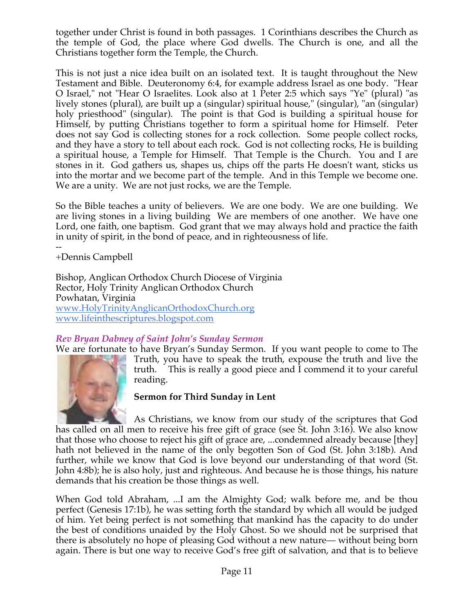together under Christ is found in both passages. 1 Corinthians describes the Church as the temple of God, the place where God dwells. The Church is one, and all the Christians together form the Temple, the Church.

This is not just a nice idea built on an isolated text. It is taught throughout the New Testament and Bible. Deuteronomy 6:4, for example address Israel as one body. "Hear O Israel," not "Hear O Israelites. Look also at 1 Peter 2:5 which says "Ye" (plural) "as lively stones (plural), are built up a (singular) spiritual house," (singular), "an (singular) holy priesthood" (singular). The point is that God is building a spiritual house for Himself, by putting Christians together to form a spiritual home for Himself. Peter does not say God is collecting stones for a rock collection. Some people collect rocks, and they have a story to tell about each rock. God is not collecting rocks, He is building a spiritual house, a Temple for Himself. That Temple is the Church. You and I are stones in it. God gathers us, shapes us, chips off the parts He doesn't want, sticks us into the mortar and we become part of the temple. And in this Temple we become one. We are a unity. We are not just rocks, we are the Temple.

So the Bible teaches a unity of believers. We are one body. We are one building. We are living stones in a living building We are members of one another. We have one Lord, one faith, one baptism. God grant that we may always hold and practice the faith in unity of spirit, in the bond of peace, and in righteousness of life.

-- +Dennis Campbell

Bishop, Anglican Orthodox Church Diocese of Virginia Rector, Holy Trinity Anglican Orthodox Church Powhatan, Virginia www.HolyTrinityAnglicanOrthodoxChurch.org www.lifeinthescriptures.blogspot.com

# *Rev Bryan Dabney of Saint John's Sunday Sermon*

We are fortunate to have Bryan's Sunday Sermon. If you want people to come to The



Truth, you have to speak the truth, expouse the truth and live the truth. This is really a good piece and I commend it to your careful reading.

#### **Sermon for Third Sunday in Lent**

As Christians, we know from our study of the scriptures that God has called on all men to receive his free gift of grace (see St. John 3:16). We also know that those who choose to reject his gift of grace are, ...condemned already because [they] hath not believed in the name of the only begotten Son of God (St. John 3:18b). And further, while we know that God is love beyond our understanding of that word (St. John 4:8b); he is also holy, just and righteous. And because he is those things, his nature demands that his creation be those things as well.

When God told Abraham, ...I am the Almighty God; walk before me, and be thou perfect (Genesis 17:1b), he was setting forth the standard by which all would be judged of him. Yet being perfect is not something that mankind has the capacity to do under the best of conditions unaided by the Holy Ghost. So we should not be surprised that there is absolutely no hope of pleasing God without a new nature— without being born again. There is but one way to receive God's free gift of salvation, and that is to believe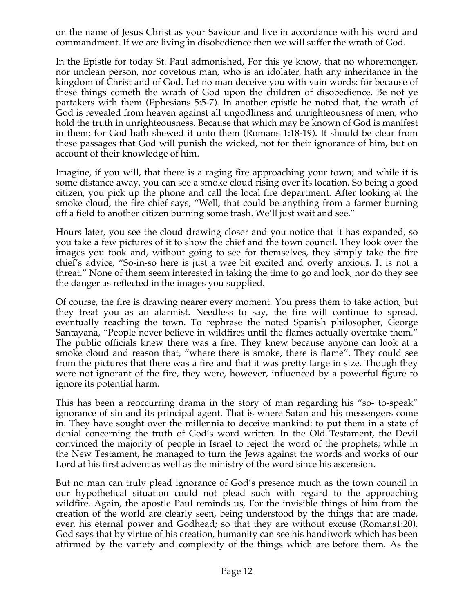on the name of Jesus Christ as your Saviour and live in accordance with his word and commandment. If we are living in disobedience then we will suffer the wrath of God.

In the Epistle for today St. Paul admonished, For this ye know, that no whoremonger, nor unclean person, nor covetous man, who is an idolater, hath any inheritance in the kingdom of Christ and of God. Let no man deceive you with vain words: for because of these things cometh the wrath of God upon the children of disobedience. Be not ye partakers with them (Ephesians 5:5-7). In another epistle he noted that, the wrath of God is revealed from heaven against all ungodliness and unrighteousness of men, who hold the truth in unrighteousness. Because that which may be known of God is manifest in them; for God hath shewed it unto them (Romans 1:18-19). It should be clear from these passages that God will punish the wicked, not for their ignorance of him, but on account of their knowledge of him.

Imagine, if you will, that there is a raging fire approaching your town; and while it is some distance away, you can see a smoke cloud rising over its location. So being a good citizen, you pick up the phone and call the local fire department. After looking at the smoke cloud, the fire chief says, "Well, that could be anything from a farmer burning off a field to another citizen burning some trash. We'll just wait and see."

Hours later, you see the cloud drawing closer and you notice that it has expanded, so you take a few pictures of it to show the chief and the town council. They look over the images you took and, without going to see for themselves, they simply take the fire chief's advice, "So-in-so here is just a wee bit excited and overly anxious. It is not a threat." None of them seem interested in taking the time to go and look, nor do they see the danger as reflected in the images you supplied.

Of course, the fire is drawing nearer every moment. You press them to take action, but they treat you as an alarmist. Needless to say, the fire will continue to spread, eventually reaching the town. To rephrase the noted Spanish philosopher, George Santayana, "People never believe in wildfires until the flames actually overtake them." The public officials knew there was a fire. They knew because anyone can look at a smoke cloud and reason that, "where there is smoke, there is flame". They could see from the pictures that there was a fire and that it was pretty large in size. Though they were not ignorant of the fire, they were, however, influenced by a powerful figure to ignore its potential harm.

This has been a reoccurring drama in the story of man regarding his "so- to-speak" ignorance of sin and its principal agent. That is where Satan and his messengers come in. They have sought over the millennia to deceive mankind: to put them in a state of denial concerning the truth of God's word written. In the Old Testament, the Devil convinced the majority of people in Israel to reject the word of the prophets; while in the New Testament, he managed to turn the Jews against the words and works of our Lord at his first advent as well as the ministry of the word since his ascension.

But no man can truly plead ignorance of God's presence much as the town council in our hypothetical situation could not plead such with regard to the approaching wildfire. Again, the apostle Paul reminds us, For the invisible things of him from the creation of the world are clearly seen, being understood by the things that are made, even his eternal power and Godhead; so that they are without excuse (Romans1:20). God says that by virtue of his creation, humanity can see his handiwork which has been affirmed by the variety and complexity of the things which are before them. As the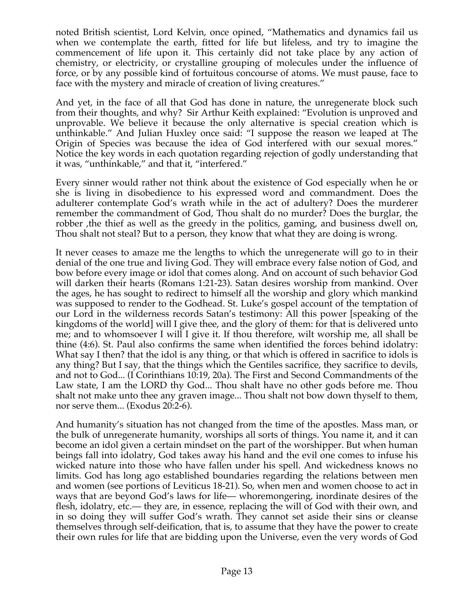noted British scientist, Lord Kelvin, once opined, "Mathematics and dynamics fail us when we contemplate the earth, fitted for life but lifeless, and try to imagine the commencement of life upon it. This certainly did not take place by any action of chemistry, or electricity, or crystalline grouping of molecules under the influence of force, or by any possible kind of fortuitous concourse of atoms. We must pause, face to face with the mystery and miracle of creation of living creatures."

And yet, in the face of all that God has done in nature, the unregenerate block such from their thoughts, and why? Sir Arthur Keith explained: "Evolution is unproved and unprovable. We believe it because the only alternative is special creation which is unthinkable." And Julian Huxley once said: "I suppose the reason we leaped at The Origin of Species was because the idea of God interfered with our sexual mores." Notice the key words in each quotation regarding rejection of godly understanding that it was, "unthinkable," and that it, "interfered."

Every sinner would rather not think about the existence of God especially when he or she is living in disobedience to his expressed word and commandment. Does the adulterer contemplate God's wrath while in the act of adultery? Does the murderer remember the commandment of God, Thou shalt do no murder? Does the burglar, the robber, the thief as well as the greedy in the politics, gaming, and business dwell on, Thou shalt not steal? But to a person, they know that what they are doing is wrong.

It never ceases to amaze me the lengths to which the unregenerate will go to in their denial of the one true and living God. They will embrace every false notion of God, and bow before every image or idol that comes along. And on account of such behavior God will darken their hearts (Romans 1:21-23). Satan desires worship from mankind. Over the ages, he has sought to redirect to himself all the worship and glory which mankind was supposed to render to the Godhead. St. Luke's gospel account of the temptation of our Lord in the wilderness records Satan's testimony: All this power [speaking of the kingdoms of the world] will I give thee, and the glory of them: for that is delivered unto me; and to whomsoever I will I give it. If thou therefore, wilt worship me, all shall be thine (4:6). St. Paul also confirms the same when identified the forces behind idolatry: What say I then? that the idol is any thing, or that which is offered in sacrifice to idols is any thing? But I say, that the things which the Gentiles sacrifice, they sacrifice to devils, and not to God... (I Corinthians 10:19, 20a). The First and Second Commandments of the Law state, I am the LORD thy God... Thou shalt have no other gods before me. Thou shalt not make unto thee any graven image... Thou shalt not bow down thyself to them, nor serve them... (Exodus 20:2-6).

And humanity's situation has not changed from the time of the apostles. Mass man, or the bulk of unregenerate humanity, worships all sorts of things. You name it, and it can become an idol given a certain mindset on the part of the worshipper. But when human beings fall into idolatry, God takes away his hand and the evil one comes to infuse his wicked nature into those who have fallen under his spell. And wickedness knows no limits. God has long ago established boundaries regarding the relations between men and women (see portions of Leviticus 18-21). So, when men and women choose to act in ways that are beyond God's laws for life— whoremongering, inordinate desires of the flesh, idolatry, etc.— they are, in essence, replacing the will of God with their own, and in so doing they will suffer God's wrath. They cannot set aside their sins or cleanse themselves through self-deification, that is, to assume that they have the power to create their own rules for life that are bidding upon the Universe, even the very words of God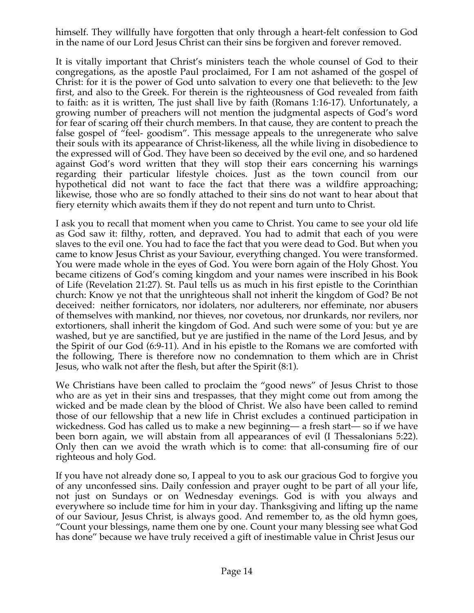himself. They willfully have forgotten that only through a heart-felt confession to God in the name of our Lord Jesus Christ can their sins be forgiven and forever removed.

It is vitally important that Christ's ministers teach the whole counsel of God to their congregations, as the apostle Paul proclaimed, For I am not ashamed of the gospel of Christ: for it is the power of God unto salvation to every one that believeth: to the Jew first, and also to the Greek. For therein is the righteousness of God revealed from faith to faith: as it is written, The just shall live by faith (Romans 1:16-17). Unfortunately, a growing number of preachers will not mention the judgmental aspects of God's word for fear of scaring off their church members. In that cause, they are content to preach the false gospel of "feel- goodism". This message appeals to the unregenerate who salve their souls with its appearance of Christ-likeness, all the while living in disobedience to the expressed will of God. They have been so deceived by the evil one, and so hardened against God's word written that they will stop their ears concerning his warnings regarding their particular lifestyle choices. Just as the town council from our hypothetical did not want to face the fact that there was a wildfire approaching; likewise, those who are so fondly attached to their sins do not want to hear about that fiery eternity which awaits them if they do not repent and turn unto to Christ.

I ask you to recall that moment when you came to Christ. You came to see your old life as God saw it: filthy, rotten, and depraved. You had to admit that each of you were slaves to the evil one. You had to face the fact that you were dead to God. But when you came to know Jesus Christ as your Saviour, everything changed. You were transformed. You were made whole in the eyes of God. You were born again of the Holy Ghost. You became citizens of God's coming kingdom and your names were inscribed in his Book of Life (Revelation 21:27). St. Paul tells us as much in his first epistle to the Corinthian church: Know ye not that the unrighteous shall not inherit the kingdom of God? Be not deceived: neither fornicators, nor idolaters, nor adulterers, nor effeminate, nor abusers of themselves with mankind, nor thieves, nor covetous, nor drunkards, nor revilers, nor extortioners, shall inherit the kingdom of God. And such were some of you: but ye are washed, but ye are sanctified, but ye are justified in the name of the Lord Jesus, and by the Spirit of our God (6:9-11). And in his epistle to the Romans we are comforted with the following, There is therefore now no condemnation to them which are in Christ Jesus, who walk not after the flesh, but after the Spirit (8:1).

We Christians have been called to proclaim the "good news" of Jesus Christ to those who are as yet in their sins and trespasses, that they might come out from among the wicked and be made clean by the blood of Christ. We also have been called to remind those of our fellowship that a new life in Christ excludes a continued participation in wickedness. God has called us to make a new beginning— a fresh start— so if we have been born again, we will abstain from all appearances of evil (I Thessalonians 5:22). Only then can we avoid the wrath which is to come: that all-consuming fire of our righteous and holy God.

If you have not already done so, I appeal to you to ask our gracious God to forgive you of any unconfessed sins. Daily confession and prayer ought to be part of all your life, not just on Sundays or on Wednesday evenings. God is with you always and everywhere so include time for him in your day. Thanksgiving and lifting up the name of our Saviour, Jesus Christ, is always good. And remember to, as the old hymn goes, "Count your blessings, name them one by one. Count your many blessing see what God has done" because we have truly received a gift of inestimable value in Christ Jesus our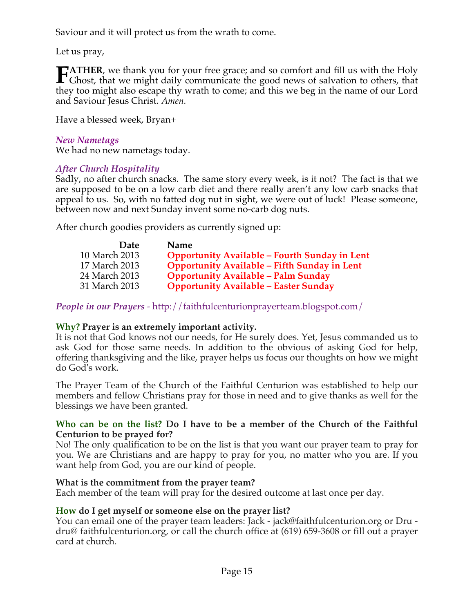Saviour and it will protect us from the wrath to come.

Let us pray,

**ATHER**, we thank you for your free grace; and so comfort and fill us with the Holy **FATHER**, we thank you for your free grace; and so comfort and fill us with the Holy Ghost, that we might daily communicate the good news of salvation to others, that they too might also escape thy wrath to come; and this we beg in the name of our Lord and Saviour Jesus Christ. *Amen.*

Have a blessed week, Bryan+

# *New Nametags*

We had no new nametags today.

# *After Church Hospitality*

Sadly, no after church snacks. The same story every week, is it not? The fact is that we are supposed to be on a low carb diet and there really aren't any low carb snacks that appeal to us. So, with no fatted dog nut in sight, we were out of luck! Please someone, between now and next Sunday invent some no-carb dog nuts.

After church goodies providers as currently signed up:

| <b>Date</b>   | <b>Name</b>                                          |
|---------------|------------------------------------------------------|
| 10 March 2013 | <b>Opportunity Available - Fourth Sunday in Lent</b> |
| 17 March 2013 | <b>Opportunity Available - Fifth Sunday in Lent</b>  |
| 24 March 2013 | <b>Opportunity Available - Palm Sunday</b>           |
| 31 March 2013 | <b>Opportunity Available - Easter Sunday</b>         |

*People in our Prayers* - http://faithfulcenturionprayerteam.blogspot.com/

# **Why? Prayer is an extremely important activity.**

It is not that God knows not our needs, for He surely does. Yet, Jesus commanded us to ask God for those same needs. In addition to the obvious of asking God for help, offering thanksgiving and the like, prayer helps us focus our thoughts on how we might do God's work.

The Prayer Team of the Church of the Faithful Centurion was established to help our members and fellow Christians pray for those in need and to give thanks as well for the blessings we have been granted.

# **Who can be on the list? Do I have to be a member of the Church of the Faithful Centurion to be prayed for?**

No! The only qualification to be on the list is that you want our prayer team to pray for you. We are Christians and are happy to pray for you, no matter who you are. If you want help from God, you are our kind of people.

# **What is the commitment from the prayer team?**

Each member of the team will pray for the desired outcome at last once per day.

# **How do I get myself or someone else on the prayer list?**

You can email one of the prayer team leaders: Jack - jack@faithfulcenturion.org or Dru dru@ faithfulcenturion.org, or call the church office at (619) 659-3608 or fill out a prayer card at church.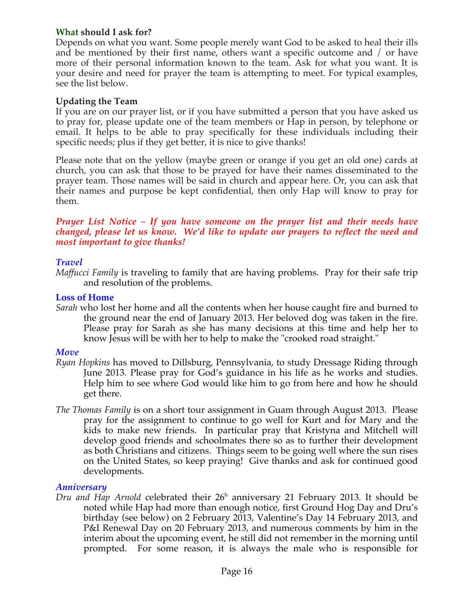#### **What should I ask for?**

Depends on what you want. Some people merely want God to be asked to heal their ills and be mentioned by their first name, others want a specific outcome and / or have more of their personal information known to the team. Ask for what you want. It is your desire and need for prayer the team is attempting to meet. For typical examples, see the list below.

#### **Updating the Team**

If you are on our prayer list, or if you have submitted a person that you have asked us to pray for, please update one of the team members or Hap in person, by telephone or email. It helps to be able to pray specifically for these individuals including their specific needs; plus if they get better, it is nice to give thanks!

Please note that on the yellow (maybe green or orange if you get an old one) cards at church, you can ask that those to be prayed for have their names disseminated to the prayer team. Those names will be said in church and appear here. Or, you can ask that their names and purpose be kept confidential, then only Hap will know to pray for them.

#### *Prayer List Notice – If you have someone on the prayer list and their needs have changed, please let us know. We'd like to update our prayers to reflect the need and most important to give thanks!*

#### *Travel*

*Maffucci Family* is traveling to family that are having problems. Pray for their safe trip and resolution of the problems.

#### **Loss of Home**

*Sarah* who lost her home and all the contents when her house caught fire and burned to the ground near the end of January 2013. Her beloved dog was taken in the fire. Please pray for Sarah as she has many decisions at this time and help her to know Jesus will be with her to help to make the "crooked road straight."

#### *Move*

- *Ryan Hopkins* has moved to Dillsburg, Pennsylvania, to study Dressage Riding through June 2013. Please pray for God's guidance in his life as he works and studies. Help him to see where God would like him to go from here and how he should get there.
- *The Thomas Family* is on a short tour assignment in Guam through August 2013. Please pray for the assignment to continue to go well for Kurt and for Mary and the kids to make new friends. In particular pray that Kristyna and Mitchell will develop good friends and schoolmates there so as to further their development as both Christians and citizens. Things seem to be going well where the sun rises on the United States, so keep praying! Give thanks and ask for continued good developments.

#### *Anniversary*

Dru and Hap Arnold celebrated their 26<sup>h</sup> anniversary 21 February 2013. It should be noted while Hap had more than enough notice, first Ground Hog Day and Dru's birthday (see below) on 2 February 2013, Valentine's Day 14 February 2013, and P&I Renewal Day on 20 February 2013, and numerous comments by him in the interim about the upcoming event, he still did not remember in the morning until prompted. For some reason, it is always the male who is responsible for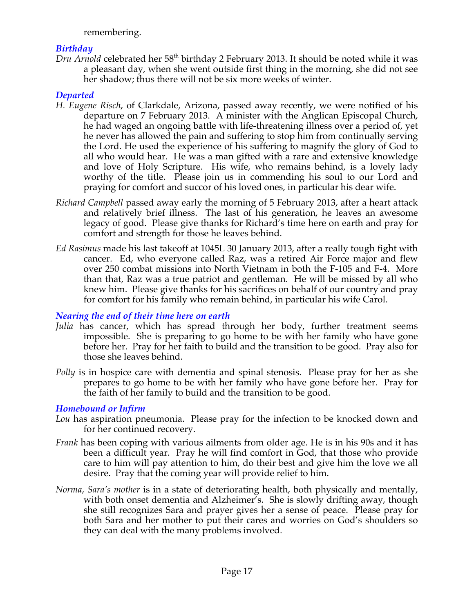remembering.

# *Birthday*

*Dru Arnold* celebrated her 58<sup>th</sup> birthday 2 February 2013. It should be noted while it was a pleasant day, when she went outside first thing in the morning, she did not see her shadow; thus there will not be six more weeks of winter.

# *Departed*

- *H. Eugene Risch*, of Clarkdale, Arizona, passed away recently, we were notified of his departure on 7 February 2013. A minister with the Anglican Episcopal Church, he had waged an ongoing battle with life-threatening illness over a period of, yet he never has allowed the pain and suffering to stop him from continually serving the Lord. He used the experience of his suffering to magnify the glory of God to all who would hear. He was a man gifted with a rare and extensive knowledge and love of Holy Scripture. His wife, who remains behind, is a lovely lady worthy of the title. Please join us in commending his soul to our Lord and praying for comfort and succor of his loved ones, in particular his dear wife.
- *Richard Campbell* passed away early the morning of 5 February 2013, after a heart attack and relatively brief illness. The last of his generation, he leaves an awesome legacy of good. Please give thanks for Richard's time here on earth and pray for comfort and strength for those he leaves behind.
- *Ed Rasimus* made his last takeoff at 1045L 30 January 2013, after a really tough fight with cancer. Ed, who everyone called Raz, was a retired Air Force major and flew over 250 combat missions into North Vietnam in both the F-105 and F-4. More than that, Raz was a true patriot and gentleman. He will be missed by all who knew him. Please give thanks for his sacrifices on behalf of our country and pray for comfort for his family who remain behind, in particular his wife Carol.

# *Nearing the end of their time here on earth*

- *Julia* has cancer, which has spread through her body, further treatment seems impossible. She is preparing to go home to be with her family who have gone before her. Pray for her faith to build and the transition to be good. Pray also for those she leaves behind.
- *Polly* is in hospice care with dementia and spinal stenosis. Please pray for her as she prepares to go home to be with her family who have gone before her. Pray for the faith of her family to build and the transition to be good.

# *Homebound or Infirm*

- *Lou* has aspiration pneumonia. Please pray for the infection to be knocked down and for her continued recovery.
- *Frank* has been coping with various ailments from older age. He is in his 90s and it has been a difficult year. Pray he will find comfort in God, that those who provide care to him will pay attention to him, do their best and give him the love we all desire. Pray that the coming year will provide relief to him.
- *Norma, Sara's mother* is in a state of deteriorating health, both physically and mentally, with both onset dementia and Alzheimer's. She is slowly drifting away, though she still recognizes Sara and prayer gives her a sense of peace. Please pray for both Sara and her mother to put their cares and worries on God's shoulders so they can deal with the many problems involved.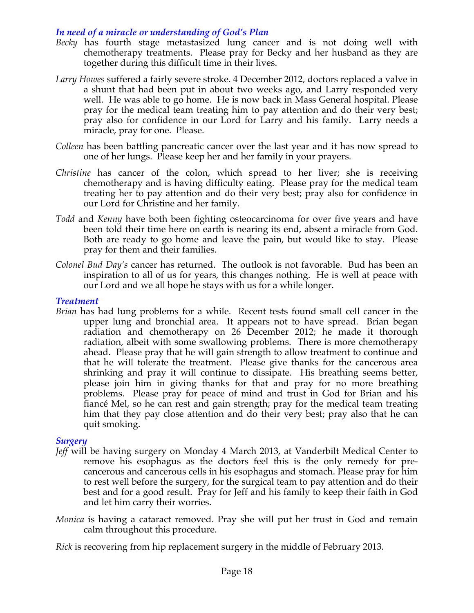# *In need of a miracle or understanding of God's Plan*

- *Becky* has fourth stage metastasized lung cancer and is not doing well with chemotherapy treatments. Please pray for Becky and her husband as they are together during this difficult time in their lives.
- *Larry Howes* suffered a fairly severe stroke. 4 December 2012, doctors replaced a valve in a shunt that had been put in about two weeks ago, and Larry responded very well. He was able to go home. He is now back in Mass General hospital. Please pray for the medical team treating him to pay attention and do their very best; pray also for confidence in our Lord for Larry and his family. Larry needs a miracle, pray for one. Please.
- *Colleen* has been battling pancreatic cancer over the last year and it has now spread to one of her lungs. Please keep her and her family in your prayers.
- *Christine* has cancer of the colon, which spread to her liver; she is receiving chemotherapy and is having difficulty eating. Please pray for the medical team treating her to pay attention and do their very best; pray also for confidence in our Lord for Christine and her family.
- *Todd* and *Kenny* have both been fighting osteocarcinoma for over five years and have been told their time here on earth is nearing its end, absent a miracle from God. Both are ready to go home and leave the pain, but would like to stay. Please pray for them and their families.
- *Colonel Bud Day's* cancer has returned. The outlook is not favorable. Bud has been an inspiration to all of us for years, this changes nothing. He is well at peace with our Lord and we all hope he stays with us for a while longer.

#### *Treatment*

*Brian* has had lung problems for a while. Recent tests found small cell cancer in the upper lung and bronchial area. It appears not to have spread. Brian began radiation and chemotherapy on 26 December 2012; he made it thorough radiation, albeit with some swallowing problems. There is more chemotherapy ahead. Please pray that he will gain strength to allow treatment to continue and that he will tolerate the treatment. Please give thanks for the cancerous area shrinking and pray it will continue to dissipate. His breathing seems better, please join him in giving thanks for that and pray for no more breathing problems. Please pray for peace of mind and trust in God for Brian and his fiancé Mel, so he can rest and gain strength; pray for the medical team treating him that they pay close attention and do their very best; pray also that he can quit smoking.

#### *Surgery*

- *Jeff* will be having surgery on Monday 4 March 2013, at Vanderbilt Medical Center to remove his esophagus as the doctors feel this is the only remedy for precancerous and cancerous cells in his esophagus and stomach. Please pray for him to rest well before the surgery, for the surgical team to pay attention and do their best and for a good result. Pray for Jeff and his family to keep their faith in God and let him carry their worries.
- *Monica* is having a cataract removed. Pray she will put her trust in God and remain calm throughout this procedure.

*Rick* is recovering from hip replacement surgery in the middle of February 2013.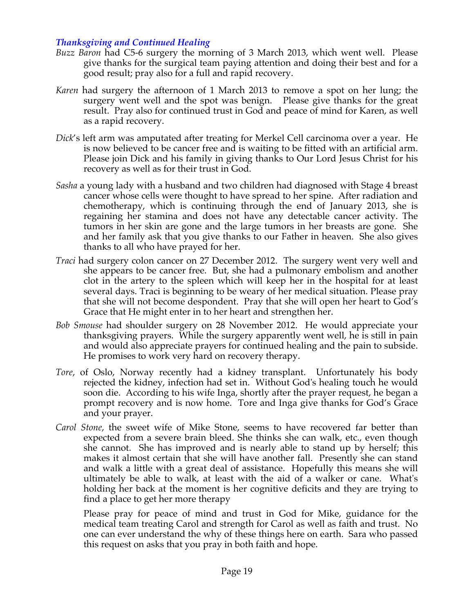#### *Thanksgiving and Continued Healing*

- *Buzz Baron* had C5-6 surgery the morning of 3 March 2013, which went well. Please give thanks for the surgical team paying attention and doing their best and for a good result; pray also for a full and rapid recovery.
- *Karen* had surgery the afternoon of 1 March 2013 to remove a spot on her lung; the surgery went well and the spot was benign. Please give thanks for the great result. Pray also for continued trust in God and peace of mind for Karen, as well as a rapid recovery.
- *Dick*'s left arm was amputated after treating for Merkel Cell carcinoma over a year. He is now believed to be cancer free and is waiting to be fitted with an artificial arm. Please join Dick and his family in giving thanks to Our Lord Jesus Christ for his recovery as well as for their trust in God.
- *Sasha* a young lady with a husband and two children had diagnosed with Stage 4 breast cancer whose cells were thought to have spread to her spine. After radiation and chemotherapy, which is continuing through the end of January 2013, she is regaining her stamina and does not have any detectable cancer activity. The tumors in her skin are gone and the large tumors in her breasts are gone. She and her family ask that you give thanks to our Father in heaven. She also gives thanks to all who have prayed for her.
- *Traci* had surgery colon cancer on 27 December 2012. The surgery went very well and she appears to be cancer free. But, she had a pulmonary embolism and another clot in the artery to the spleen which will keep her in the hospital for at least several days. Traci is beginning to be weary of her medical situation. Please pray that she will not become despondent. Pray that she will open her heart to God's Grace that He might enter in to her heart and strengthen her.
- *Bob Smouse* had shoulder surgery on 28 November 2012. He would appreciate your thanksgiving prayers. While the surgery apparently went well, he is still in pain and would also appreciate prayers for continued healing and the pain to subside. He promises to work very hard on recovery therapy.
- *Tore*, of Oslo, Norway recently had a kidney transplant. Unfortunately his body rejected the kidney, infection had set in. Without God's healing touch he would soon die. According to his wife Inga, shortly after the prayer request, he began a prompt recovery and is now home. Tore and Inga give thanks for God's Grace and your prayer.
- *Carol Stone*, the sweet wife of Mike Stone, seems to have recovered far better than expected from a severe brain bleed. She thinks she can walk, etc., even though she cannot. She has improved and is nearly able to stand up by herself; this makes it almost certain that she will have another fall. Presently she can stand and walk a little with a great deal of assistance. Hopefully this means she will ultimately be able to walk, at least with the aid of a walker or cane. What's holding her back at the moment is her cognitive deficits and they are trying to find a place to get her more therapy

Please pray for peace of mind and trust in God for Mike, guidance for the medical team treating Carol and strength for Carol as well as faith and trust. No one can ever understand the why of these things here on earth. Sara who passed this request on asks that you pray in both faith and hope.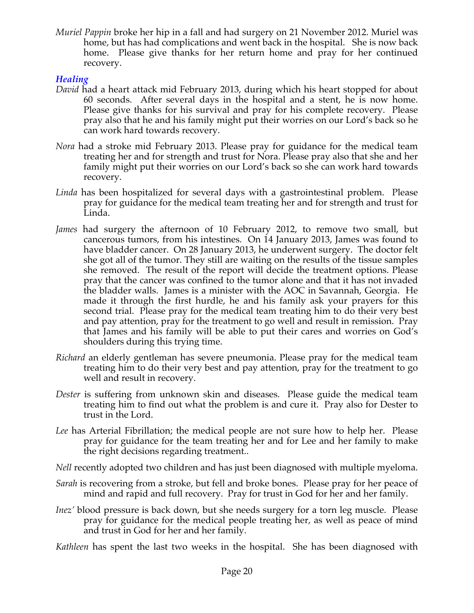*Muriel Pappin* broke her hip in a fall and had surgery on 21 November 2012. Muriel was home, but has had complications and went back in the hospital. She is now back home. Please give thanks for her return home and pray for her continued recovery.

## *Healing*

- *David* had a heart attack mid February 2013, during which his heart stopped for about 60 seconds. After several days in the hospital and a stent, he is now home. Please give thanks for his survival and pray for his complete recovery. Please pray also that he and his family might put their worries on our Lord's back so he can work hard towards recovery.
- *Nora* had a stroke mid February 2013. Please pray for guidance for the medical team treating her and for strength and trust for Nora. Please pray also that she and her family might put their worries on our Lord's back so she can work hard towards recovery.
- *Linda* has been hospitalized for several days with a gastrointestinal problem. Please pray for guidance for the medical team treating her and for strength and trust for Linda.
- *James* had surgery the afternoon of 10 February 2012, to remove two small, but cancerous tumors, from his intestines. On 14 January 2013, James was found to have bladder cancer. On 28 January 2013, he underwent surgery. The doctor felt she got all of the tumor. They still are waiting on the results of the tissue samples she removed. The result of the report will decide the treatment options. Please pray that the cancer was confined to the tumor alone and that it has not invaded the bladder walls. James is a minister with the AOC in Savannah, Georgia. He made it through the first hurdle, he and his family ask your prayers for this second trial. Please pray for the medical team treating him to do their very best and pay attention, pray for the treatment to go well and result in remission. Pray that James and his family will be able to put their cares and worries on God's shoulders during this trying time.
- *Richard* an elderly gentleman has severe pneumonia. Please pray for the medical team treating him to do their very best and pay attention, pray for the treatment to go well and result in recovery.
- *Dester* is suffering from unknown skin and diseases. Please guide the medical team treating him to find out what the problem is and cure it. Pray also for Dester to trust in the Lord.
- *Lee* has Arterial Fibrillation; the medical people are not sure how to help her. Please pray for guidance for the team treating her and for Lee and her family to make the right decisions regarding treatment..
- *Nell* recently adopted two children and has just been diagnosed with multiple myeloma.
- *Sarah* is recovering from a stroke, but fell and broke bones. Please pray for her peace of mind and rapid and full recovery. Pray for trust in God for her and her family.
- *Inez'* blood pressure is back down, but she needs surgery for a torn leg muscle. Please pray for guidance for the medical people treating her, as well as peace of mind and trust in God for her and her family.

*Kathleen* has spent the last two weeks in the hospital. She has been diagnosed with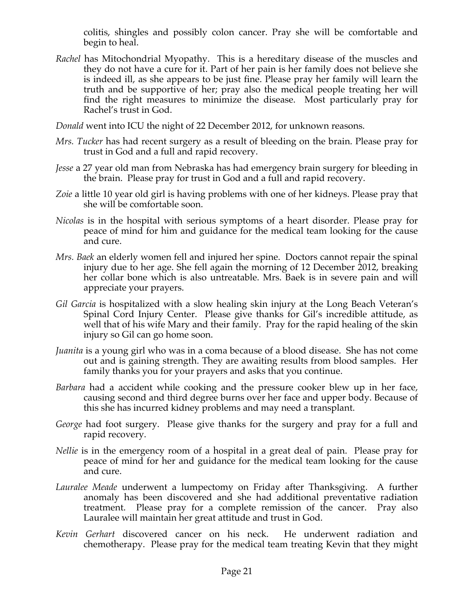colitis, shingles and possibly colon cancer. Pray she will be comfortable and begin to heal.

*Rachel* has Mitochondrial Myopathy. This is a hereditary disease of the muscles and they do not have a cure for it. Part of her pain is her family does not believe she is indeed ill, as she appears to be just fine. Please pray her family will learn the truth and be supportive of her; pray also the medical people treating her will find the right measures to minimize the disease. Most particularly pray for Rachel's trust in God.

*Donald* went into ICU the night of 22 December 2012, for unknown reasons.

- *Mrs. Tucker* has had recent surgery as a result of bleeding on the brain. Please pray for trust in God and a full and rapid recovery.
- *Jesse* a 27 year old man from Nebraska has had emergency brain surgery for bleeding in the brain. Please pray for trust in God and a full and rapid recovery.
- *Zoie* a little 10 year old girl is having problems with one of her kidneys. Please pray that she will be comfortable soon.
- *Nicolas* is in the hospital with serious symptoms of a heart disorder. Please pray for peace of mind for him and guidance for the medical team looking for the cause and cure.
- *Mrs. Baek* an elderly women fell and injured her spine. Doctors cannot repair the spinal injury due to her age. She fell again the morning of 12 December 2012, breaking her collar bone which is also untreatable. Mrs. Baek is in severe pain and will appreciate your prayers.
- *Gil Garcia* is hospitalized with a slow healing skin injury at the Long Beach Veteran's Spinal Cord Injury Center. Please give thanks for Gil's incredible attitude, as well that of his wife Mary and their family. Pray for the rapid healing of the skin injury so Gil can go home soon.
- *Juanita* is a young girl who was in a coma because of a blood disease. She has not come out and is gaining strength. They are awaiting results from blood samples. Her family thanks you for your prayers and asks that you continue.
- *Barbara* had a accident while cooking and the pressure cooker blew up in her face, causing second and third degree burns over her face and upper body. Because of this she has incurred kidney problems and may need a transplant.
- *George* had foot surgery. Please give thanks for the surgery and pray for a full and rapid recovery.
- *Nellie* is in the emergency room of a hospital in a great deal of pain. Please pray for peace of mind for her and guidance for the medical team looking for the cause and cure.
- *Lauralee Meade* underwent a lumpectomy on Friday after Thanksgiving. A further anomaly has been discovered and she had additional preventative radiation treatment. Please pray for a complete remission of the cancer. Pray also Lauralee will maintain her great attitude and trust in God.
- *Kevin Gerhart* discovered cancer on his neck. He underwent radiation and chemotherapy. Please pray for the medical team treating Kevin that they might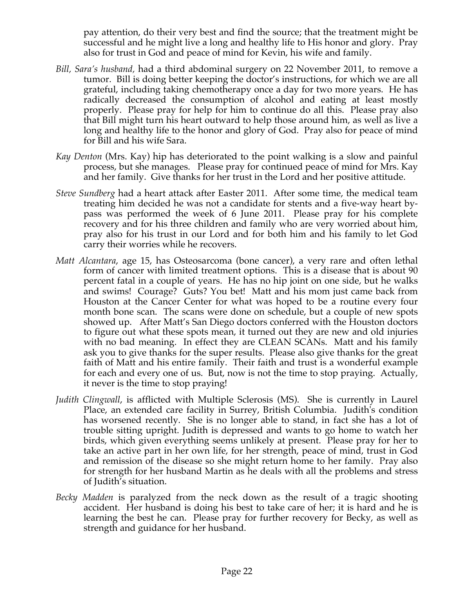pay attention, do their very best and find the source; that the treatment might be successful and he might live a long and healthy life to His honor and glory. Pray also for trust in God and peace of mind for Kevin, his wife and family.

- *Bill, Sara's husband,* had a third abdominal surgery on 22 November 2011, to remove a tumor. Bill is doing better keeping the doctor's instructions, for which we are all grateful, including taking chemotherapy once a day for two more years. He has radically decreased the consumption of alcohol and eating at least mostly properly. Please pray for help for him to continue do all this. Please pray also that Bill might turn his heart outward to help those around him, as well as live a long and healthy life to the honor and glory of God. Pray also for peace of mind for Bill and his wife Sara.
- *Kay Denton* (Mrs. Kay) hip has deteriorated to the point walking is a slow and painful process, but she manages. Please pray for continued peace of mind for Mrs. Kay and her family. Give thanks for her trust in the Lord and her positive attitude.
- *Steve Sundberg* had a heart attack after Easter 2011. After some time, the medical team treating him decided he was not a candidate for stents and a five-way heart bypass was performed the week of 6 June 2011. Please pray for his complete recovery and for his three children and family who are very worried about him, pray also for his trust in our Lord and for both him and his family to let God carry their worries while he recovers.
- *Matt Alcantara*, age 15, has Osteosarcoma (bone cancer), a very rare and often lethal form of cancer with limited treatment options. This is a disease that is about 90 percent fatal in a couple of years. He has no hip joint on one side, but he walks and swims! Courage? Guts? You bet! Matt and his mom just came back from Houston at the Cancer Center for what was hoped to be a routine every four month bone scan. The scans were done on schedule, but a couple of new spots showed up. After Matt's San Diego doctors conferred with the Houston doctors to figure out what these spots mean, it turned out they are new and old injuries with no bad meaning. In effect they are CLEAN SCANs. Matt and his family ask you to give thanks for the super results. Please also give thanks for the great faith of Matt and his entire family. Their faith and trust is a wonderful example for each and every one of us. But, now is not the time to stop praying. Actually, it never is the time to stop praying!
- *Judith Clingwall*, is afflicted with Multiple Sclerosis (MS). She is currently in Laurel Place, an extended care facility in Surrey, British Columbia. Judith's condition has worsened recently. She is no longer able to stand, in fact she has a lot of trouble sitting upright. Judith is depressed and wants to go home to watch her birds, which given everything seems unlikely at present. Please pray for her to take an active part in her own life, for her strength, peace of mind, trust in God and remission of the disease so she might return home to her family. Pray also for strength for her husband Martin as he deals with all the problems and stress of Judith's situation.
- *Becky Madden* is paralyzed from the neck down as the result of a tragic shooting accident. Her husband is doing his best to take care of her; it is hard and he is learning the best he can. Please pray for further recovery for Becky, as well as strength and guidance for her husband.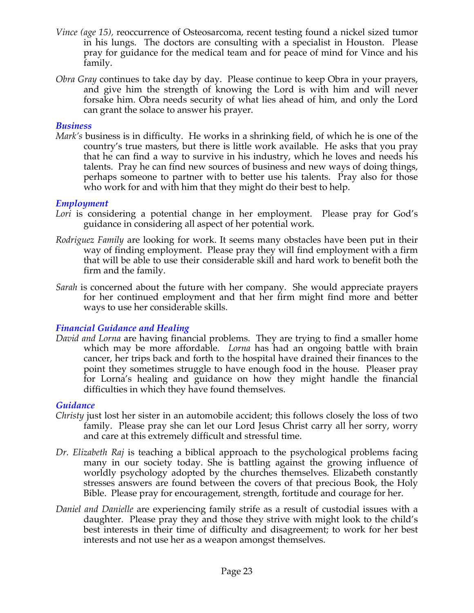- *Vince (age 15),* reoccurrence of Osteosarcoma, recent testing found a nickel sized tumor in his lungs. The doctors are consulting with a specialist in Houston. Please pray for guidance for the medical team and for peace of mind for Vince and his family.
- *Obra Gray* continues to take day by day. Please continue to keep Obra in your prayers, and give him the strength of knowing the Lord is with him and will never forsake him. Obra needs security of what lies ahead of him, and only the Lord can grant the solace to answer his prayer.

#### *Business*

*Mark's* business is in difficulty. He works in a shrinking field, of which he is one of the country's true masters, but there is little work available. He asks that you pray that he can find a way to survive in his industry, which he loves and needs his talents. Pray he can find new sources of business and new ways of doing things, perhaps someone to partner with to better use his talents. Pray also for those who work for and with him that they might do their best to help.

#### *Employment*

- Lori is considering a potential change in her employment. Please pray for God's guidance in considering all aspect of her potential work.
- *Rodriguez Family* are looking for work. It seems many obstacles have been put in their way of finding employment. Please pray they will find employment with a firm that will be able to use their considerable skill and hard work to benefit both the firm and the family.
- *Sarah* is concerned about the future with her company. She would appreciate prayers for her continued employment and that her firm might find more and better ways to use her considerable skills.

# *Financial Guidance and Healing*

*David and Lorna* are having financial problems. They are trying to find a smaller home which may be more affordable. *Lorna* has had an ongoing battle with brain cancer, her trips back and forth to the hospital have drained their finances to the point they sometimes struggle to have enough food in the house. Pleaser pray for Lorna's healing and guidance on how they might handle the financial difficulties in which they have found themselves.

#### *Guidance*

- *Christy* just lost her sister in an automobile accident; this follows closely the loss of two family. Please pray she can let our Lord Jesus Christ carry all her sorry, worry and care at this extremely difficult and stressful time.
- *Dr. Elizabeth Raj* is teaching a biblical approach to the psychological problems facing many in our society today. She is battling against the growing influence of worldly psychology adopted by the churches themselves. Elizabeth constantly stresses answers are found between the covers of that precious Book, the Holy Bible. Please pray for encouragement, strength, fortitude and courage for her.
- *Daniel and Danielle* are experiencing family strife as a result of custodial issues with a daughter. Please pray they and those they strive with might look to the child's best interests in their time of difficulty and disagreement; to work for her best interests and not use her as a weapon amongst themselves.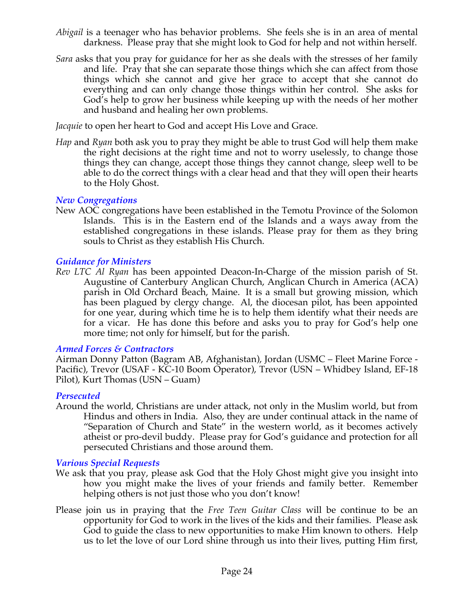- *Abigail* is a teenager who has behavior problems. She feels she is in an area of mental darkness. Please pray that she might look to God for help and not within herself.
- *Sara* asks that you pray for guidance for her as she deals with the stresses of her family and life. Pray that she can separate those things which she can affect from those things which she cannot and give her grace to accept that she cannot do everything and can only change those things within her control. She asks for God's help to grow her business while keeping up with the needs of her mother and husband and healing her own problems.

*Jacquie* to open her heart to God and accept His Love and Grace.

*Hap* and *Ryan* both ask you to pray they might be able to trust God will help them make the right decisions at the right time and not to worry uselessly, to change those things they can change, accept those things they cannot change, sleep well to be able to do the correct things with a clear head and that they will open their hearts to the Holy Ghost.

#### *New Congregations*

New AOC congregations have been established in the Temotu Province of the Solomon Islands. This is in the Eastern end of the Islands and a ways away from the established congregations in these islands. Please pray for them as they bring souls to Christ as they establish His Church.

# *Guidance for Ministers*

*Rev LTC Al Ryan* has been appointed Deacon-In-Charge of the mission parish of St. Augustine of Canterbury Anglican Church, Anglican Church in America (ACA) parish in Old Orchard Beach, Maine. It is a small but growing mission, which has been plagued by clergy change. Al, the diocesan pilot, has been appointed for one year, during which time he is to help them identify what their needs are for a vicar. He has done this before and asks you to pray for God's help one more time; not only for himself, but for the parish.

#### *Armed Forces & Contractors*

Airman Donny Patton (Bagram AB, Afghanistan), Jordan (USMC – Fleet Marine Force - Pacific), Trevor (USAF - KC-10 Boom Operator), Trevor (USN – Whidbey Island, EF-18 Pilot), Kurt Thomas (USN – Guam)

#### *Persecuted*

Around the world, Christians are under attack, not only in the Muslim world, but from Hindus and others in India. Also, they are under continual attack in the name of "Separation of Church and State" in the western world, as it becomes actively atheist or pro-devil buddy. Please pray for God's guidance and protection for all persecuted Christians and those around them.

#### *Various Special Requests*

- We ask that you pray, please ask God that the Holy Ghost might give you insight into how you might make the lives of your friends and family better. Remember helping others is not just those who you don't know!
- Please join us in praying that the *Free Teen Guitar Class* will be continue to be an opportunity for God to work in the lives of the kids and their families. Please ask God to guide the class to new opportunities to make Him known to others. Help us to let the love of our Lord shine through us into their lives, putting Him first,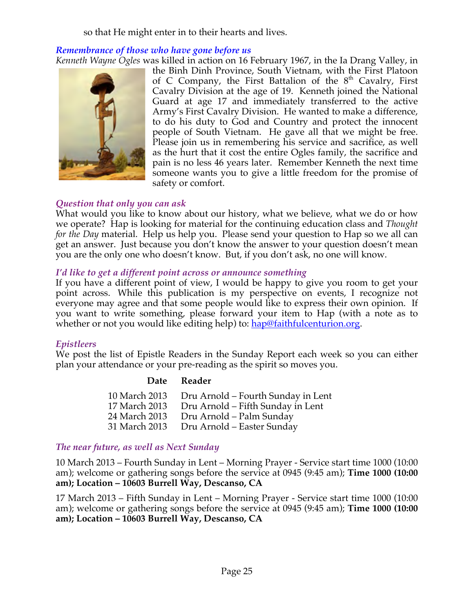so that He might enter in to their hearts and lives.

#### *Remembrance of those who have gone before us*

*Kenneth Wayne Ogles* was killed in action on 16 February 1967, in the Ia Drang Valley, in



the Binh Dinh Province, South Vietnam, with the First Platoon of C Company, the First Battalion of the  $8<sup>th</sup>$  Cavalry, First Cavalry Division at the age of 19. Kenneth joined the National Guard at age 17 and immediately transferred to the active Army's First Cavalry Division. He wanted to make a difference, to do his duty to God and Country and protect the innocent people of South Vietnam. He gave all that we might be free. Please join us in remembering his service and sacrifice, as well as the hurt that it cost the entire Ogles family, the sacrifice and pain is no less 46 years later. Remember Kenneth the next time someone wants you to give a little freedom for the promise of safety or comfort.

#### *Question that only you can ask*

What would you like to know about our history, what we believe, what we do or how we operate? Hap is looking for material for the continuing education class and *Thought for the Day* material. Help us help you. Please send your question to Hap so we all can get an answer. Just because you don't know the answer to your question doesn't mean you are the only one who doesn't know. But, if you don't ask, no one will know.

#### *I'd like to get a different point across or announce something*

If you have a different point of view, I would be happy to give you room to get your point across. While this publication is my perspective on events, I recognize not everyone may agree and that some people would like to express their own opinion. If you want to write something, please forward your item to Hap (with a note as to whether or not you would like editing help) to: hap@faithfulcenturion.org.

#### *Epistleers*

We post the list of Epistle Readers in the Sunday Report each week so you can either plan your attendance or your pre-reading as the spirit so moves you.

#### **Date Reader**

| 10 March 2013 | Dru Arnold – Fourth Sunday in Lent |
|---------------|------------------------------------|
| 17 March 2013 | Dru Arnold - Fifth Sunday in Lent  |
| 24 March 2013 | Dru Arnold – Palm Sunday           |
| 31 March 2013 | Dru Arnold – Easter Sunday         |

#### *The near future, as well as Next Sunday*

10 March 2013 – Fourth Sunday in Lent – Morning Prayer - Service start time 1000 (10:00 am); welcome or gathering songs before the service at 0945 (9:45 am); **Time 1000 (10:00 am); Location – 10603 Burrell Way, Descanso, CA**

17 March 2013 – Fifth Sunday in Lent – Morning Prayer - Service start time 1000 (10:00 am); welcome or gathering songs before the service at 0945 (9:45 am); **Time 1000 (10:00 am); Location – 10603 Burrell Way, Descanso, CA**